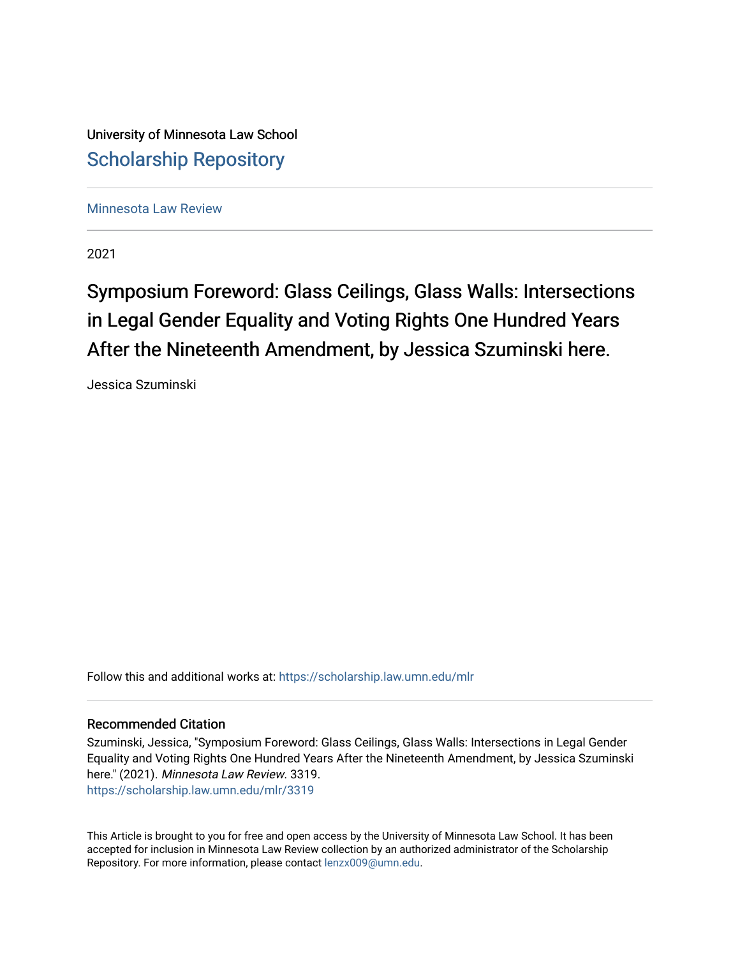University of Minnesota Law School [Scholarship Repository](https://scholarship.law.umn.edu/) 

[Minnesota Law Review](https://scholarship.law.umn.edu/mlr) 

2021

# Symposium Foreword: Glass Ceilings, Glass Walls: Intersections in Legal Gender Equality and Voting Rights One Hundred Years After the Nineteenth Amendment, by Jessica Szuminski here.

Jessica Szuminski

Follow this and additional works at: [https://scholarship.law.umn.edu/mlr](https://scholarship.law.umn.edu/mlr?utm_source=scholarship.law.umn.edu%2Fmlr%2F3319&utm_medium=PDF&utm_campaign=PDFCoverPages)

# Recommended Citation

Szuminski, Jessica, "Symposium Foreword: Glass Ceilings, Glass Walls: Intersections in Legal Gender Equality and Voting Rights One Hundred Years After the Nineteenth Amendment, by Jessica Szuminski here." (2021). Minnesota Law Review. 3319. [https://scholarship.law.umn.edu/mlr/3319](https://scholarship.law.umn.edu/mlr/3319?utm_source=scholarship.law.umn.edu%2Fmlr%2F3319&utm_medium=PDF&utm_campaign=PDFCoverPages)

This Article is brought to you for free and open access by the University of Minnesota Law School. It has been accepted for inclusion in Minnesota Law Review collection by an authorized administrator of the Scholarship Repository. For more information, please contact [lenzx009@umn.edu.](mailto:lenzx009@umn.edu)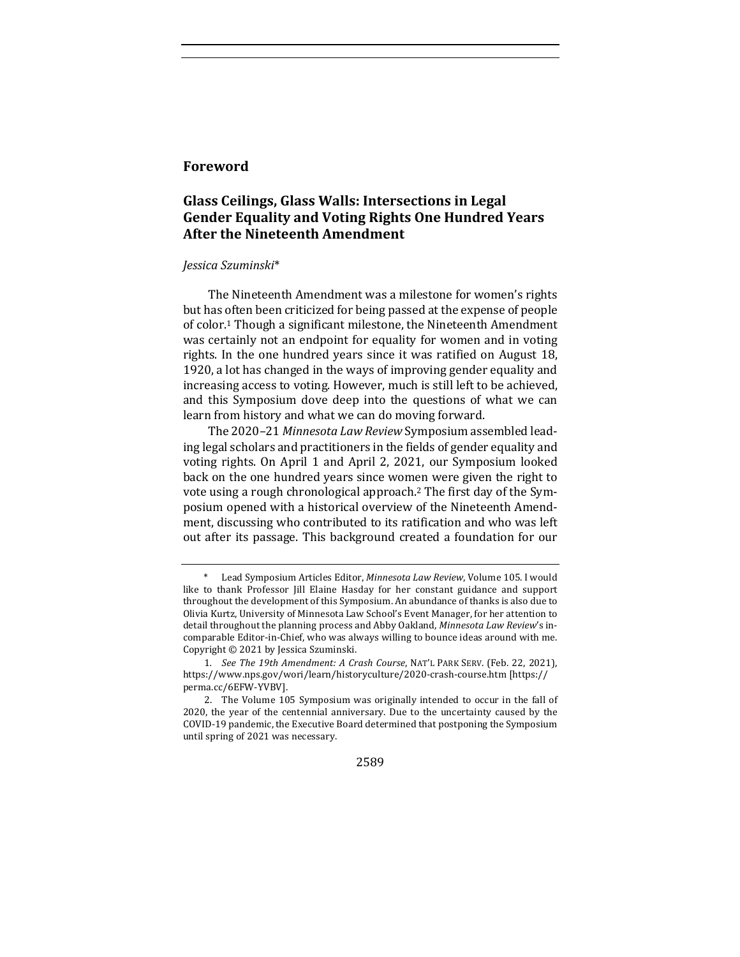## **Foreword**

# Glass Ceilings, Glass Walls: Intersections in Legal **Gender Equality and Voting Rights One Hundred Years After the Nineteenth Amendment**

#### *Jessica Szuminski*\*

The Nineteenth Amendment was a milestone for women's rights but has often been criticized for being passed at the expense of people of color.<sup>1</sup> Though a significant milestone, the Nineteenth Amendment was certainly not an endpoint for equality for women and in voting rights. In the one hundred years since it was ratified on August 18, 1920, a lot has changed in the ways of improving gender equality and increasing access to voting. However, much is still left to be achieved, and this Symposium dove deep into the questions of what we can learn from history and what we can do moving forward.

The 2020-21 Minnesota Law Review Symposium assembled leading legal scholars and practitioners in the fields of gender equality and voting rights. On April 1 and April 2, 2021, our Symposium looked back on the one hundred years since women were given the right to vote using a rough chronological approach.<sup>2</sup> The first day of the Symposium opened with a historical overview of the Nineteenth Amendment, discussing who contributed to its ratification and who was left out after its passage. This background created a foundation for our

2589

Lead Symposium Articles Editor, *Minnesota Law Review*, Volume 105. I would like to thank Professor Jill Elaine Hasday for her constant guidance and support throughout the development of this Symposium. An abundance of thanks is also due to Olivia Kurtz, University of Minnesota Law School's Event Manager, for her attention to detail throughout the planning process and Abby Oakland, *Minnesota Law Review's* incomparable Editor-in-Chief, who was always willing to bounce ideas around with me. Copyright  $©$  2021 by Jessica Szuminski.

<sup>1.</sup> See The 19th Amendment: A Crash Course, NAT'L PARK SERV. (Feb. 22, 2021), https://www.nps.gov/wori/learn/historyculture/2020-crash-course.htm [https:// perma.cc/6EFW-YVBV].

<sup>2.</sup> The Volume 105 Symposium was originally intended to occur in the fall of 2020, the year of the centennial anniversary. Due to the uncertainty caused by the COVID-19 pandemic, the Executive Board determined that postponing the Symposium until spring of 2021 was necessary.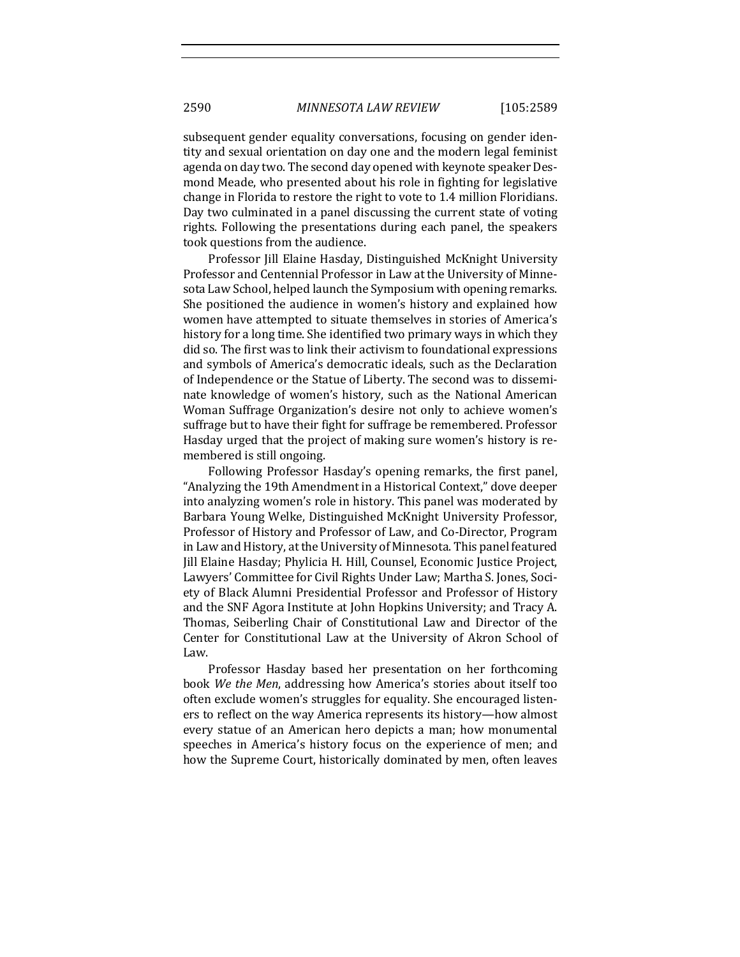subsequent gender equality conversations, focusing on gender identity and sexual orientation on day one and the modern legal feminist agenda on day two. The second day opened with keynote speaker Desmond Meade, who presented about his role in fighting for legislative change in Florida to restore the right to vote to 1.4 million Floridians. Day two culminated in a panel discussing the current state of voting rights. Following the presentations during each panel, the speakers took questions from the audience.

Professor Jill Elaine Hasday, Distinguished McKnight University Professor and Centennial Professor in Law at the University of Minnesota Law School, helped launch the Symposium with opening remarks. She positioned the audience in women's history and explained how women have attempted to situate themselves in stories of America's history for a long time. She identified two primary ways in which they did so. The first was to link their activism to foundational expressions and symbols of America's democratic ideals, such as the Declaration of Independence or the Statue of Liberty. The second was to disseminate knowledge of women's history, such as the National American Woman Suffrage Organization's desire not only to achieve women's suffrage but to have their fight for suffrage be remembered. Professor Hasday urged that the project of making sure women's history is remembered is still ongoing.

Following Professor Hasday's opening remarks, the first panel, "Analyzing the 19th Amendment in a Historical Context," dove deeper into analyzing women's role in history. This panel was moderated by Barbara Young Welke, Distinguished McKnight University Professor, Professor of History and Professor of Law, and Co-Director, Program in Law and History, at the University of Minnesota. This panel featured Jill Elaine Hasday; Phylicia H. Hill, Counsel, Economic Justice Project, Lawyers' Committee for Civil Rights Under Law; Martha S. Jones, Society of Black Alumni Presidential Professor and Professor of History and the SNF Agora Institute at John Hopkins University; and Tracy A. Thomas, Seiberling Chair of Constitutional Law and Director of the Center for Constitutional Law at the University of Akron School of Law. 

Professor Hasday based her presentation on her forthcoming book We the Men, addressing how America's stories about itself too often exclude women's struggles for equality. She encouraged listeners to reflect on the way America represents its history—how almost every statue of an American hero depicts a man; how monumental speeches in America's history focus on the experience of men; and how the Supreme Court, historically dominated by men, often leaves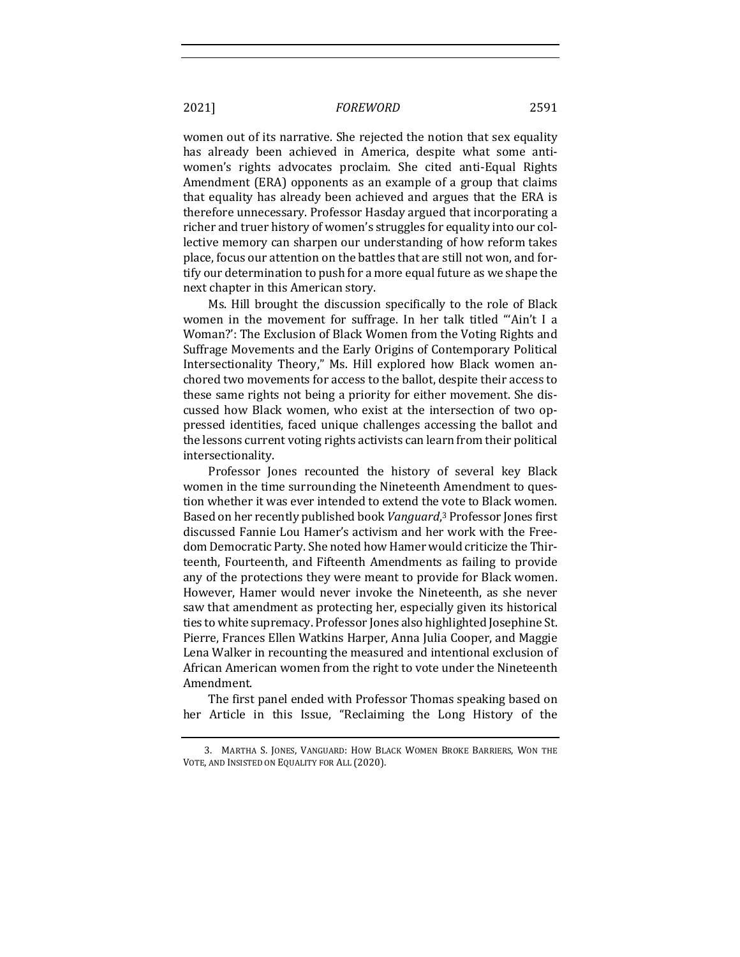### 2021] *FOREWORD* 2591

women out of its narrative. She rejected the notion that sex equality has already been achieved in America, despite what some antiwomen's rights advocates proclaim. She cited anti-Equal Rights Amendment (ERA) opponents as an example of a group that claims that equality has already been achieved and argues that the ERA is therefore unnecessary. Professor Hasday argued that incorporating a richer and truer history of women's struggles for equality into our collective memory can sharpen our understanding of how reform takes place, focus our attention on the battles that are still not won, and fortify our determination to push for a more equal future as we shape the next chapter in this American story.

Ms. Hill brought the discussion specifically to the role of Black women in the movement for suffrage. In her talk titled "'Ain't I a Woman?': The Exclusion of Black Women from the Voting Rights and Suffrage Movements and the Early Origins of Contemporary Political Intersectionality Theory," Ms. Hill explored how Black women anchored two movements for access to the ballot, despite their access to these same rights not being a priority for either movement. She discussed how Black women, who exist at the intersection of two oppressed identities, faced unique challenges accessing the ballot and the lessons current voting rights activists can learn from their political intersectionality.

Professor Jones recounted the history of several key Black women in the time surrounding the Nineteenth Amendment to question whether it was ever intended to extend the vote to Black women. Based on her recently published book Vanguard,<sup>3</sup> Professor Jones first discussed Fannie Lou Hamer's activism and her work with the Freedom Democratic Party. She noted how Hamer would criticize the Thirteenth, Fourteenth, and Fifteenth Amendments as failing to provide any of the protections they were meant to provide for Black women. However, Hamer would never invoke the Nineteenth, as she never saw that amendment as protecting her, especially given its historical ties to white supremacy. Professor Jones also highlighted Josephine St. Pierre, Frances Ellen Watkins Harper, Anna Julia Cooper, and Maggie Lena Walker in recounting the measured and intentional exclusion of African American women from the right to vote under the Nineteenth Amendment.

The first panel ended with Professor Thomas speaking based on her Article in this Issue, "Reclaiming the Long History of the

<sup>3.</sup> MARTHA S. JONES, VANGUARD: HOW BLACK WOMEN BROKE BARRIERS, WON THE VOTE, AND INSISTED ON EQUALITY FOR ALL (2020).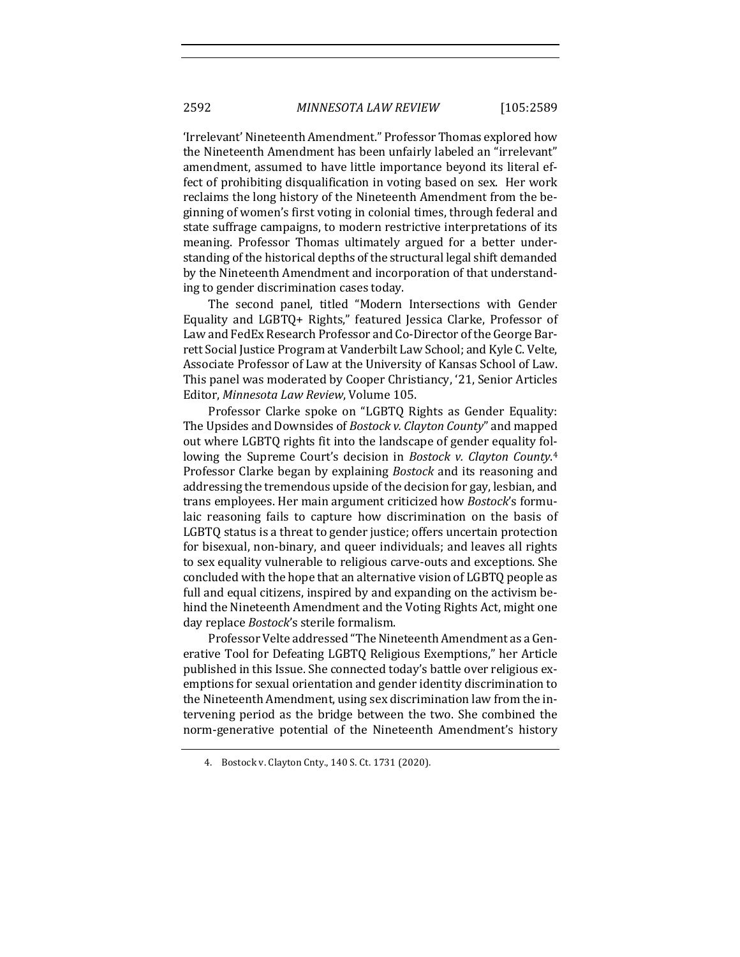'Irrelevant' Nineteenth Amendment." Professor Thomas explored how the Nineteenth Amendment has been unfairly labeled an "irrelevant" amendment, assumed to have little importance beyond its literal effect of prohibiting disqualification in voting based on sex. Her work reclaims the long history of the Nineteenth Amendment from the beginning of women's first voting in colonial times, through federal and state suffrage campaigns, to modern restrictive interpretations of its meaning. Professor Thomas ultimately argued for a better understanding of the historical depths of the structural legal shift demanded by the Nineteenth Amendment and incorporation of that understanding to gender discrimination cases today.

The second panel, titled "Modern Intersections with Gender Equality and LGBTQ+ Rights," featured Jessica Clarke, Professor of Law and FedEx Research Professor and Co-Director of the George Barrett Social Justice Program at Vanderbilt Law School; and Kyle C. Velte, Associate Professor of Law at the University of Kansas School of Law. This panel was moderated by Cooper Christiancy, '21, Senior Articles Editor, Minnesota Law Review, Volume 105.

Professor Clarke spoke on "LGBTO Rights as Gender Equality: The Upsides and Downsides of *Bostock v. Clayton County*" and mapped out where LGBTQ rights fit into the landscape of gender equality following the Supreme Court's decision in *Bostock v. Clayton County*.<sup>4</sup> Professor Clarke began by explaining *Bostock* and its reasoning and addressing the tremendous upside of the decision for gay, lesbian, and trans employees. Her main argument criticized how *Bostock's* formulaic reasoning fails to capture how discrimination on the basis of LGBTQ status is a threat to gender justice; offers uncertain protection for bisexual, non-binary, and queer individuals; and leaves all rights to sex equality vulnerable to religious carve-outs and exceptions. She concluded with the hope that an alternative vision of LGBTQ people as full and equal citizens, inspired by and expanding on the activism behind the Nineteenth Amendment and the Voting Rights Act, might one day replace *Bostock*'s sterile formalism.

Professor Velte addressed "The Nineteenth Amendment as a Generative Tool for Defeating LGBTQ Religious Exemptions," her Article published in this Issue. She connected today's battle over religious exemptions for sexual orientation and gender identity discrimination to the Nineteenth Amendment, using sex discrimination law from the intervening period as the bridge between the two. She combined the norm-generative potential of the Nineteenth Amendment's history

<sup>4.</sup> Bostock v. Clayton Cnty., 140 S. Ct. 1731 (2020).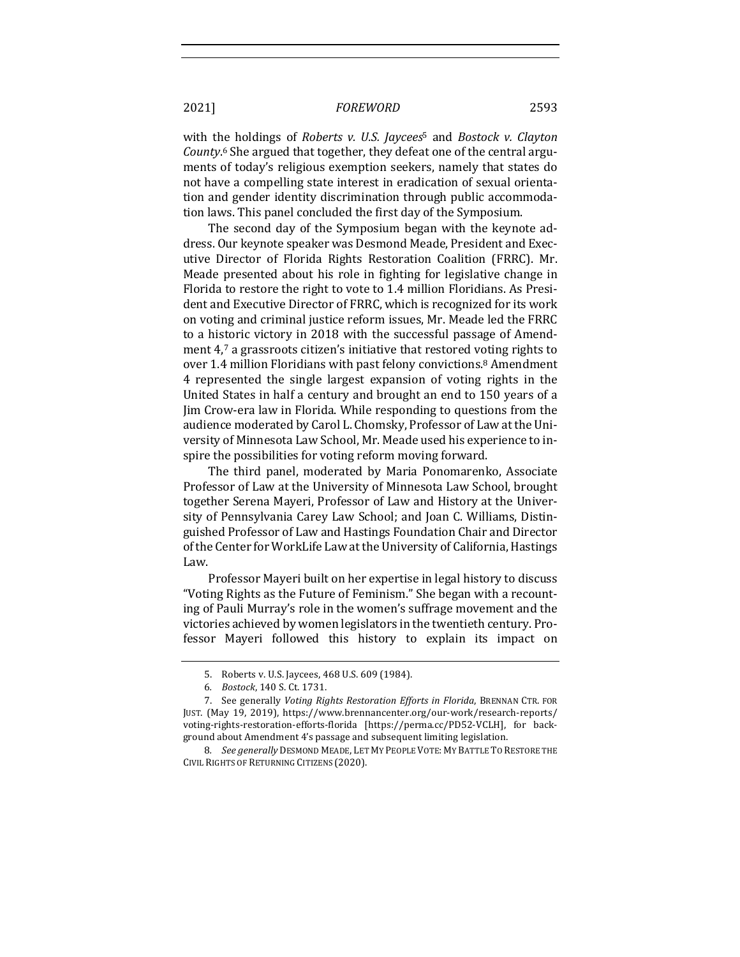#### 2021] *FOREWORD* 2593

with the holdings of *Roberts v. U.S. Jaycees*<sup>5</sup> and *Bostock v. Clayton* County.<sup>6</sup> She argued that together, they defeat one of the central arguments of today's religious exemption seekers, namely that states do not have a compelling state interest in eradication of sexual orientation and gender identity discrimination through public accommodation laws. This panel concluded the first day of the Symposium.

The second day of the Symposium began with the keynote address. Our keynote speaker was Desmond Meade, President and Executive Director of Florida Rights Restoration Coalition (FRRC). Mr. Meade presented about his role in fighting for legislative change in Florida to restore the right to vote to 1.4 million Floridians. As President and Executive Director of FRRC, which is recognized for its work on voting and criminal justice reform issues, Mr. Meade led the FRRC to a historic victory in 2018 with the successful passage of Amendment 4,7 a grassroots citizen's initiative that restored voting rights to over 1.4 million Floridians with past felony convictions.<sup>8</sup> Amendment 4 represented the single largest expansion of voting rights in the United States in half a century and brought an end to 150 years of a Jim Crow-era law in Florida. While responding to questions from the audience moderated by Carol L. Chomsky, Professor of Law at the University of Minnesota Law School, Mr. Meade used his experience to inspire the possibilities for voting reform moving forward.

The third panel, moderated by Maria Ponomarenko, Associate Professor of Law at the University of Minnesota Law School, brought together Serena Mayeri, Professor of Law and History at the University of Pennsylvania Carey Law School; and Joan C. Williams, Distinguished Professor of Law and Hastings Foundation Chair and Director of the Center for WorkLife Law at the University of California, Hastings Law. 

Professor Mayeri built on her expertise in legal history to discuss "Voting Rights as the Future of Feminism." She began with a recounting of Pauli Murray's role in the women's suffrage movement and the victories achieved by women legislators in the twentieth century. Professor Mayeri followed this history to explain its impact on

<sup>5.</sup> Roberts v. U.S. Jaycees, 468 U.S. 609 (1984).

<sup>6</sup>*. Bostock*, 140 S. Ct. 1731.

<sup>7.</sup> See generally Voting Rights Restoration Efforts in Florida, BRENNAN CTR. FOR JUST. (May 19, 2019), https://www.brennancenter.org/our-work/research-reports/ voting-rights-restoration-efforts-florida [https://perma.cc/PD52-VCLH], for background about Amendment 4's passage and subsequent limiting legislation.

<sup>8.</sup> *See generally* DESMOND MEADE, LET MY PEOPLE VOTE: MY BATTLE TO RESTORE THE CIVIL RIGHTS OF RETURNING CITIZENS (2020).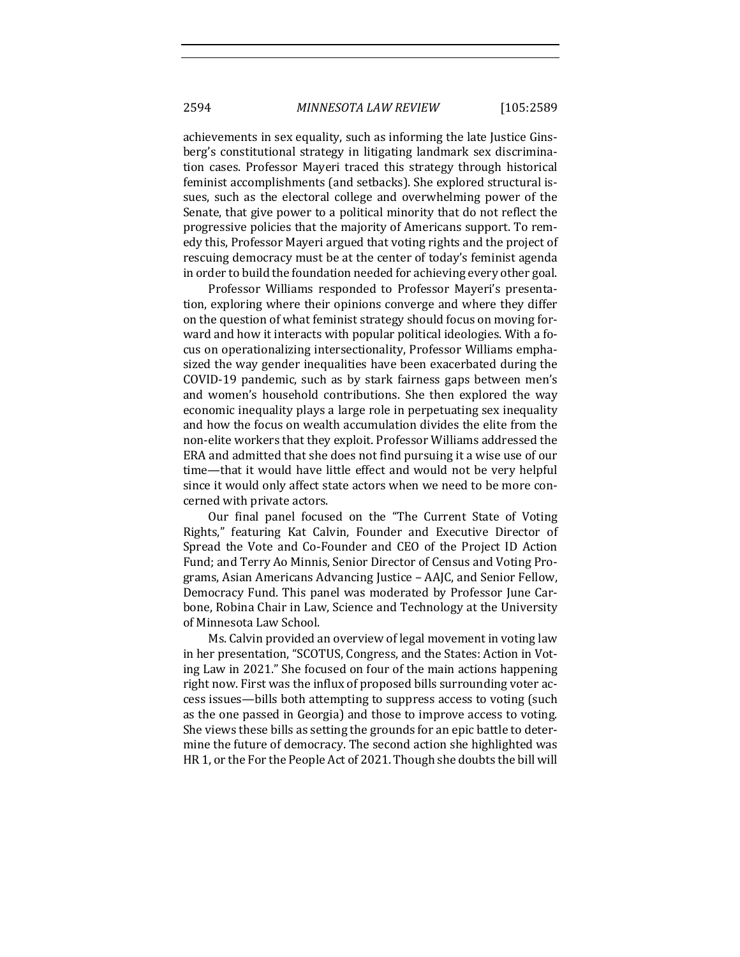achievements in sex equality, such as informing the late Justice Ginsberg's constitutional strategy in litigating landmark sex discrimination cases. Professor Mayeri traced this strategy through historical feminist accomplishments (and setbacks). She explored structural issues, such as the electoral college and overwhelming power of the Senate, that give power to a political minority that do not reflect the progressive policies that the majority of Americans support. To remedy this, Professor Mayeri argued that voting rights and the project of rescuing democracy must be at the center of today's feminist agenda in order to build the foundation needed for achieving every other goal.

Professor Williams responded to Professor Mayeri's presentation, exploring where their opinions converge and where they differ on the question of what feminist strategy should focus on moving forward and how it interacts with popular political ideologies. With a focus on operationalizing intersectionality, Professor Williams emphasized the way gender inequalities have been exacerbated during the COVID-19 pandemic, such as by stark fairness gaps between men's and women's household contributions. She then explored the way economic inequality plays a large role in perpetuating sex inequality and how the focus on wealth accumulation divides the elite from the non-elite workers that they exploit. Professor Williams addressed the ERA and admitted that she does not find pursuing it a wise use of our time—that it would have little effect and would not be very helpful since it would only affect state actors when we need to be more concerned with private actors.

Our final panel focused on the "The Current State of Voting Rights," featuring Kat Calvin, Founder and Executive Director of Spread the Vote and Co-Founder and CEO of the Project ID Action Fund; and Terry Ao Minnis, Senior Director of Census and Voting Programs, Asian Americans Advancing Justice - AAJC, and Senior Fellow, Democracy Fund. This panel was moderated by Professor June Carbone, Robina Chair in Law, Science and Technology at the University of Minnesota Law School.

Ms. Calvin provided an overview of legal movement in voting law in her presentation, "SCOTUS, Congress, and the States: Action in Voting Law in 2021." She focused on four of the main actions happening right now. First was the influx of proposed bills surrounding voter access issues—bills both attempting to suppress access to voting (such as the one passed in Georgia) and those to improve access to voting. She views these bills as setting the grounds for an epic battle to determine the future of democracy. The second action she highlighted was HR 1, or the For the People Act of 2021. Though she doubts the bill will